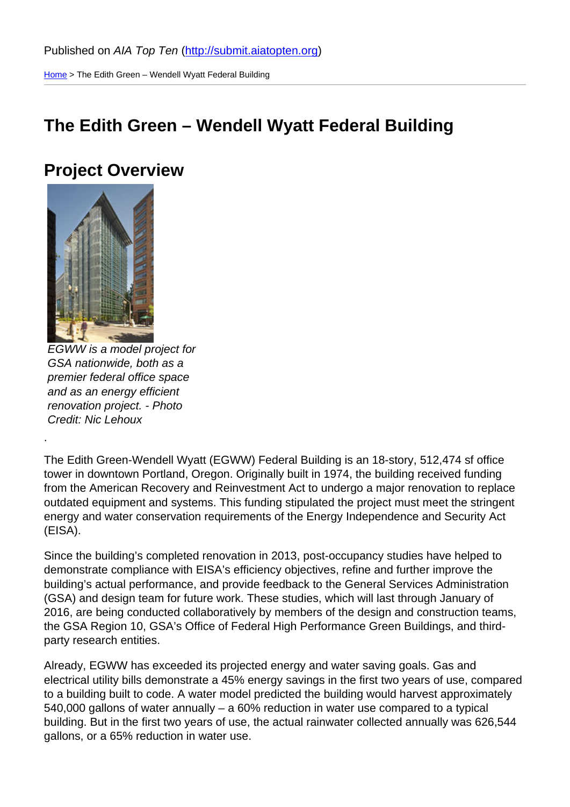Home > The Edith Green – Wendell Wyatt Federal Building

## [The](http://submit.aiatopten.org/) Edith Green – Wendell Wyatt Federal Building

### Project Overview

EGWW is a model project for GSA nationwide, both as a premier federal office space and as an energy efficient renovation project. - Photo Credit: Nic Lehoux

.

The Edith Green-Wendell Wyatt (EGWW) Federal Building is an 18-story, 512,474 sf office tower in downtown Portland, Oregon. Originally built in 1974, the building received funding from the American Recovery and Reinvestment Act to undergo a major renovation to replace outdated equipment and systems. This funding stipulated the project must meet the stringent energy and water conservation requirements of the Energy Independence and Security Act (EISA).

Since the building's completed renovation in 2013, post-occupancy studies have helped to demonstrate compliance with EISA's efficiency objectives, refine and further improve the building's actual performance, and provide feedback to the General Services Administration (GSA) and design team for future work. These studies, which will last through January of 2016, are being conducted collaboratively by members of the design and construction teams, the GSA Region 10, GSA's Office of Federal High Performance Green Buildings, and thirdparty research entities.

Already, EGWW has exceeded its projected energy and water saving goals. Gas and electrical utility bills demonstrate a 45% energy savings in the first two years of use, compared to a building built to code. A water model predicted the building would harvest approximately 540,000 gallons of water annually – a 60% reduction in water use compared to a typical building. But in the first two years of use, the actual rainwater collected annually was 626,544 gallons, or a 65% reduction in water use.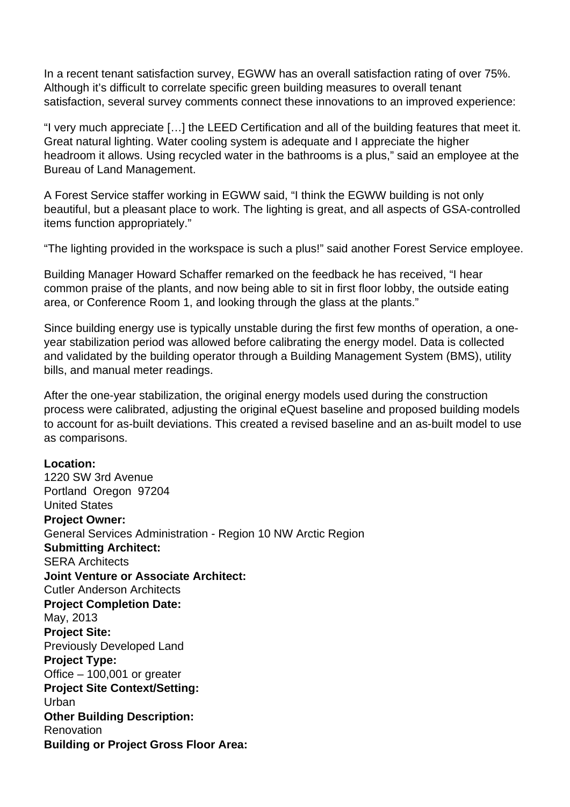In a recent tenant satisfaction survey, EGWW has an overall satisfaction rating of over 75%. Although it's difficult to correlate specific green building measures to overall tenant satisfaction, several survey comments connect these innovations to an improved experience:

"I very much appreciate […] the LEED Certification and all of the building features that meet it. Great natural lighting. Water cooling system is adequate and I appreciate the higher headroom it allows. Using recycled water in the bathrooms is a plus," said an employee at the Bureau of Land Management.

A Forest Service staffer working in EGWW said, "I think the EGWW building is not only beautiful, but a pleasant place to work. The lighting is great, and all aspects of GSA-controlled items function appropriately."

"The lighting provided in the workspace is such a plus!" said another Forest Service employee.

Building Manager Howard Schaffer remarked on the feedback he has received, "I hear common praise of the plants, and now being able to sit in first floor lobby, the outside eating area, or Conference Room 1, and looking through the glass at the plants."

Since building energy use is typically unstable during the first few months of operation, a oneyear stabilization period was allowed before calibrating the energy model. Data is collected and validated by the building operator through a Building Management System (BMS), utility bills, and manual meter readings.

After the one-year stabilization, the original energy models used during the construction process were calibrated, adjusting the original eQuest baseline and proposed building models to account for as-built deviations. This created a revised baseline and an as-built model to use as comparisons.

#### **Location:**

1220 SW 3rd Avenue Portland Oregon 97204 United States **Project Owner:**  General Services Administration - Region 10 NW Arctic Region **Submitting Architect:**  SERA Architects **Joint Venture or Associate Architect:**  Cutler Anderson Architects **Project Completion Date:**  May, 2013 **Project Site:**  Previously Developed Land **Project Type:**  Office – 100,001 or greater **Project Site Context/Setting:**  Urban **Other Building Description:**  Renovation **Building or Project Gross Floor Area:**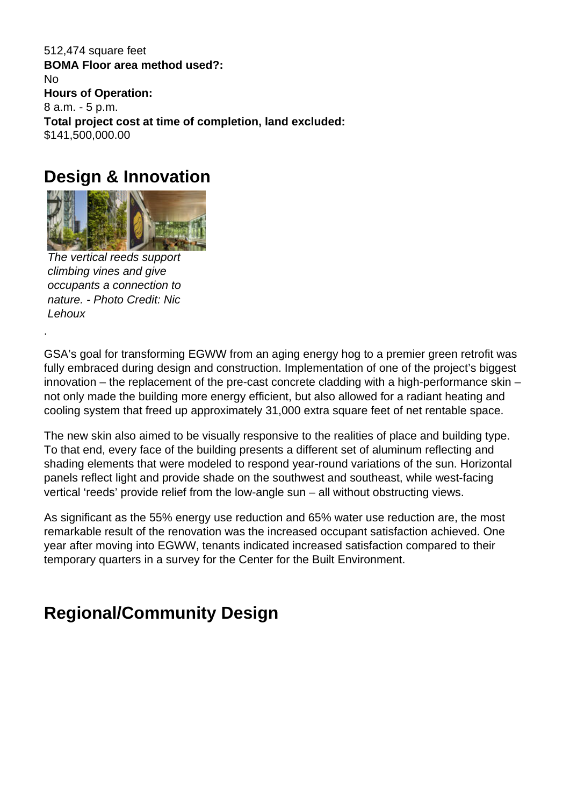512,474 square feet **BOMA Floor area method used?:**  No **Hours of Operation:**  8 a.m. - 5 p.m. **Total project cost at time of completion, land excluded:**  \$141,500,000.00

## **Design & Innovation**



The vertical reeds support climbing vines and give occupants a connection to nature. - Photo Credit: Nic Lehoux

.

GSA's goal for transforming EGWW from an aging energy hog to a premier green retrofit was fully embraced during design and construction. Implementation of one of the project's biggest innovation – the replacement of the pre-cast concrete cladding with a high-performance skin – not only made the building more energy efficient, but also allowed for a radiant heating and cooling system that freed up approximately 31,000 extra square feet of net rentable space.

The new skin also aimed to be visually responsive to the realities of place and building type. To that end, every face of the building presents a different set of aluminum reflecting and shading elements that were modeled to respond year-round variations of the sun. Horizontal panels reflect light and provide shade on the southwest and southeast, while west-facing vertical 'reeds' provide relief from the low-angle sun – all without obstructing views.

As significant as the 55% energy use reduction and 65% water use reduction are, the most remarkable result of the renovation was the increased occupant satisfaction achieved. One year after moving into EGWW, tenants indicated increased satisfaction compared to their temporary quarters in a survey for the Center for the Built Environment.

## **Regional/Community Design**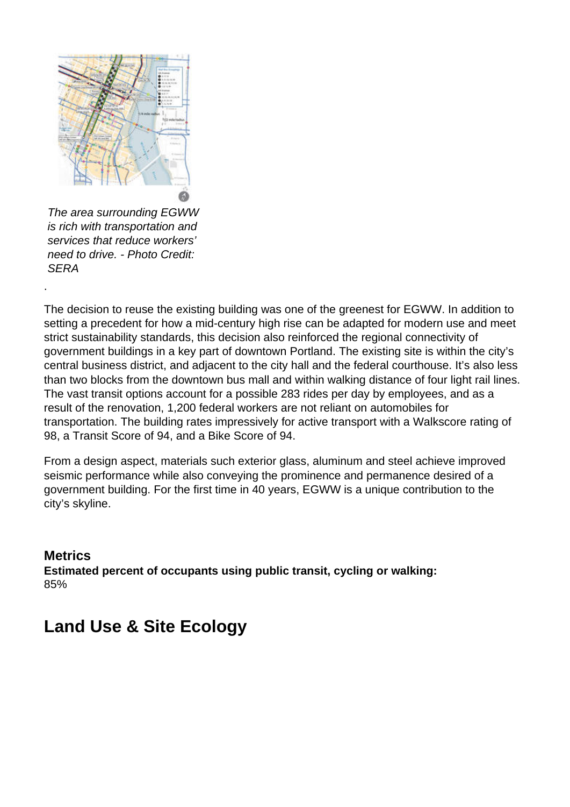

The area surrounding EGWW is rich with transportation and services that reduce workers' need to drive. - Photo Credit: **SERA** 

The decision to reuse the existing building was one of the greenest for EGWW. In addition to setting a precedent for how a mid-century high rise can be adapted for modern use and meet strict sustainability standards, this decision also reinforced the regional connectivity of government buildings in a key part of downtown Portland. The existing site is within the city's central business district, and adjacent to the city hall and the federal courthouse. It's also less than two blocks from the downtown bus mall and within walking distance of four light rail lines. The vast transit options account for a possible 283 rides per day by employees, and as a result of the renovation, 1,200 federal workers are not reliant on automobiles for transportation. The building rates impressively for active transport with a Walkscore rating of 98, a Transit Score of 94, and a Bike Score of 94.

From a design aspect, materials such exterior glass, aluminum and steel achieve improved seismic performance while also conveying the prominence and permanence desired of a government building. For the first time in 40 years, EGWW is a unique contribution to the city's skyline.

#### **Metrics**

.

**Estimated percent of occupants using public transit, cycling or walking:**  85%

## **Land Use & Site Ecology**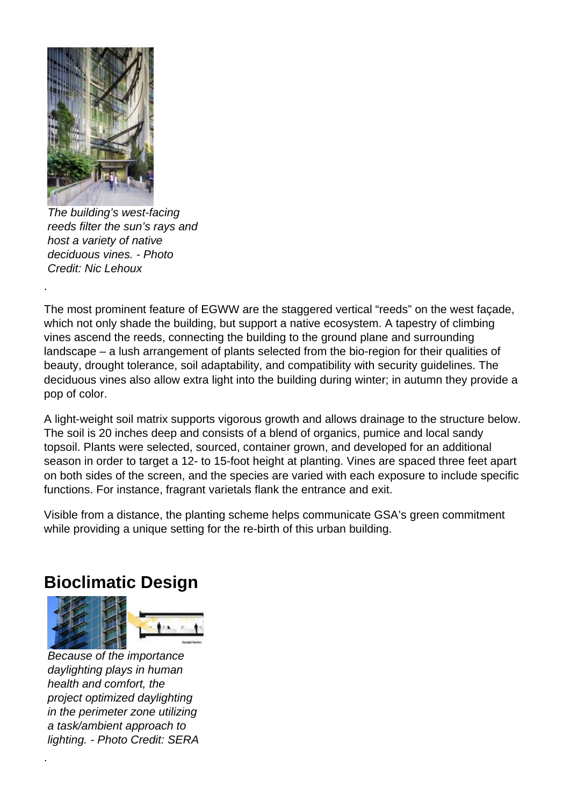

.

The building's west-facing reeds filter the sun's rays and host a variety of native deciduous vines. - Photo Credit: Nic Lehoux

The most prominent feature of EGWW are the staggered vertical "reeds" on the west façade, which not only shade the building, but support a native ecosystem. A tapestry of climbing vines ascend the reeds, connecting the building to the ground plane and surrounding landscape – a lush arrangement of plants selected from the bio-region for their qualities of beauty, drought tolerance, soil adaptability, and compatibility with security guidelines. The deciduous vines also allow extra light into the building during winter; in autumn they provide a pop of color.

A light-weight soil matrix supports vigorous growth and allows drainage to the structure below. The soil is 20 inches deep and consists of a blend of organics, pumice and local sandy topsoil. Plants were selected, sourced, container grown, and developed for an additional season in order to target a 12- to 15-foot height at planting. Vines are spaced three feet apart on both sides of the screen, and the species are varied with each exposure to include specific functions. For instance, fragrant varietals flank the entrance and exit.

Visible from a distance, the planting scheme helps communicate GSA's green commitment while providing a unique setting for the re-birth of this urban building.

### **Bioclimatic Design**



Because of the importance daylighting plays in human health and comfort, the project optimized daylighting in the perimeter zone utilizing a task/ambient approach to lighting. - Photo Credit: SERA

.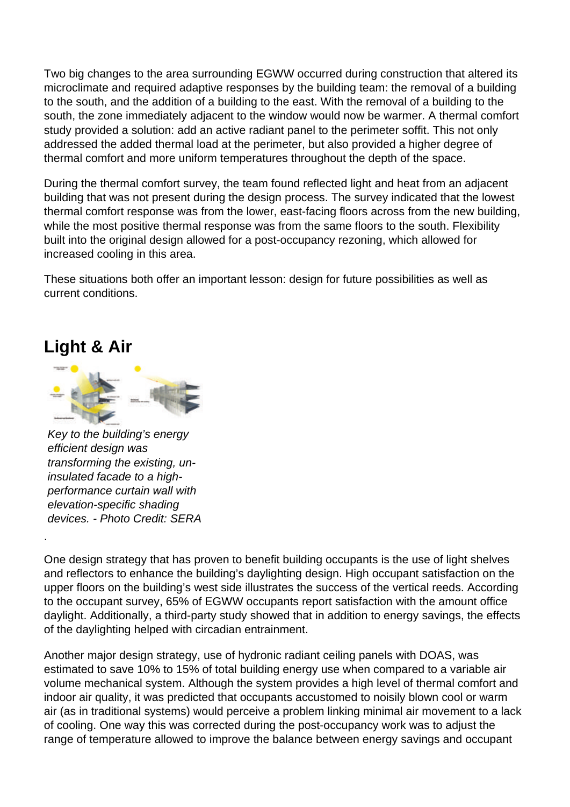Two big changes to the area surrounding EGWW occurred during construction that altered its microclimate and required adaptive responses by the building team: the removal of a building to the south, and the addition of a building to the east. With the removal of a building to the south, the zone immediately adjacent to the window would now be warmer. A thermal comfort study provided a solution: add an active radiant panel to the perimeter soffit. This not only addressed the added thermal load at the perimeter, but also provided a higher degree of thermal comfort and more uniform temperatures throughout the depth of the space.

During the thermal comfort survey, the team found reflected light and heat from an adjacent building that was not present during the design process. The survey indicated that the lowest thermal comfort response was from the lower, east-facing floors across from the new building, while the most positive thermal response was from the same floors to the south. Flexibility built into the original design allowed for a post-occupancy rezoning, which allowed for increased cooling in this area.

These situations both offer an important lesson: design for future possibilities as well as current conditions.

### **Light & Air**

.



Key to the building's energy efficient design was transforming the existing, uninsulated facade to a highperformance curtain wall with elevation-specific shading devices. - Photo Credit: SERA

One design strategy that has proven to benefit building occupants is the use of light shelves and reflectors to enhance the building's daylighting design. High occupant satisfaction on the upper floors on the building's west side illustrates the success of the vertical reeds. According to the occupant survey, 65% of EGWW occupants report satisfaction with the amount office daylight. Additionally, a third-party study showed that in addition to energy savings, the effects of the daylighting helped with circadian entrainment.

Another major design strategy, use of hydronic radiant ceiling panels with DOAS, was estimated to save 10% to 15% of total building energy use when compared to a variable air volume mechanical system. Although the system provides a high level of thermal comfort and indoor air quality, it was predicted that occupants accustomed to noisily blown cool or warm air (as in traditional systems) would perceive a problem linking minimal air movement to a lack of cooling. One way this was corrected during the post-occupancy work was to adjust the range of temperature allowed to improve the balance between energy savings and occupant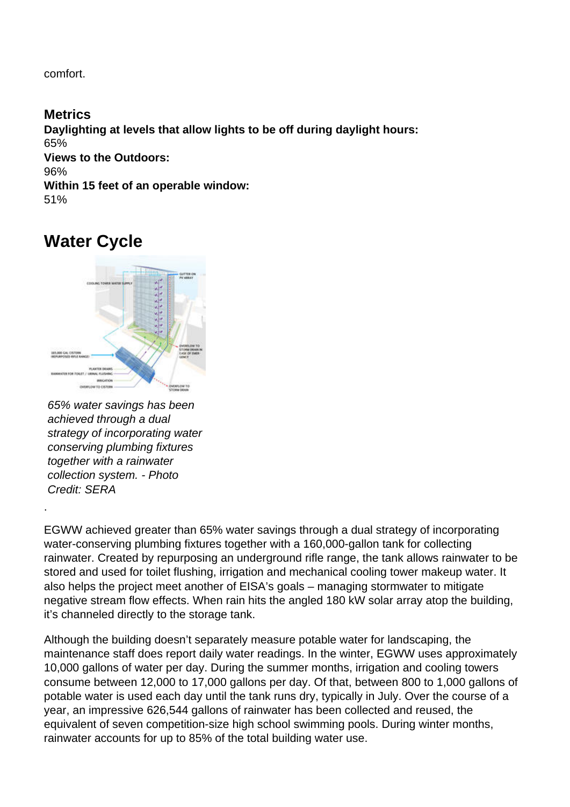comfort.

**Metrics Daylighting at levels that allow lights to be off during daylight hours:**  65% **Views to the Outdoors:**  96% **Within 15 feet of an operable window:**  51%

# **Water Cycle**



<sup>65%</sup> water savings has been achieved through a dual strategy of incorporating water conserving plumbing fixtures together with a rainwater collection system. - Photo Credit: SERA

.

EGWW achieved greater than 65% water savings through a dual strategy of incorporating water-conserving plumbing fixtures together with a 160,000-gallon tank for collecting rainwater. Created by repurposing an underground rifle range, the tank allows rainwater to be stored and used for toilet flushing, irrigation and mechanical cooling tower makeup water. It also helps the project meet another of EISA's goals – managing stormwater to mitigate negative stream flow effects. When rain hits the angled 180 kW solar array atop the building, it's channeled directly to the storage tank.

Although the building doesn't separately measure potable water for landscaping, the maintenance staff does report daily water readings. In the winter, EGWW uses approximately 10,000 gallons of water per day. During the summer months, irrigation and cooling towers consume between 12,000 to 17,000 gallons per day. Of that, between 800 to 1,000 gallons of potable water is used each day until the tank runs dry, typically in July. Over the course of a year, an impressive 626,544 gallons of rainwater has been collected and reused, the equivalent of seven competition-size high school swimming pools. During winter months, rainwater accounts for up to 85% of the total building water use.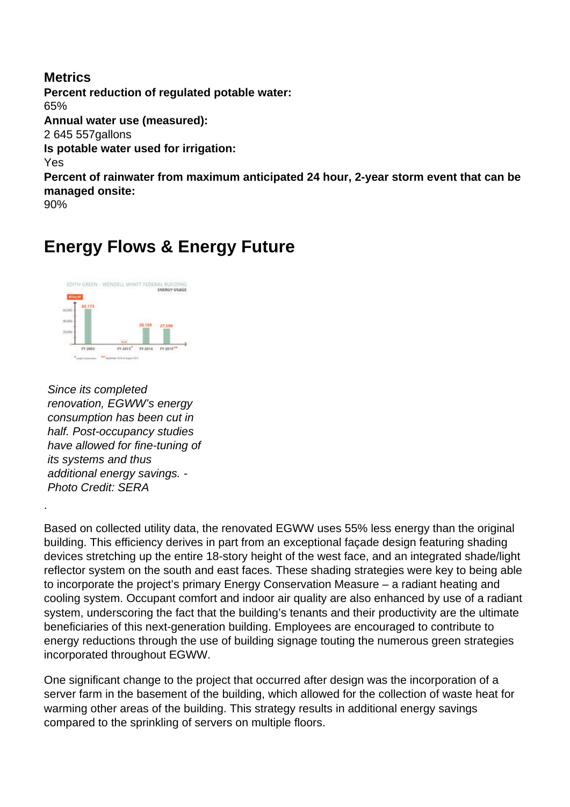#### **Metrics Percent reduction of regulated potable water:**  65% **Annual water use (measured):**  2 645 557gallons **Is potable water used for irrigation:**  Yes **Percent of rainwater from maximum anticipated 24 hour, 2-year storm event that can be managed onsite:**  90%

# **Energy Flows & Energy Future**



Since its completed renovation, EGWW's energy consumption has been cut in half. Post-occupancy studies have allowed for fine-tuning of its systems and thus additional energy savings. - Photo Credit: SERA

.

Based on collected utility data, the renovated EGWW uses 55% less energy than the original building. This efficiency derives in part from an exceptional façade design featuring shading devices stretching up the entire 18-story height of the west face, and an integrated shade/light reflector system on the south and east faces. These shading strategies were key to being able to incorporate the project's primary Energy Conservation Measure – a radiant heating and cooling system. Occupant comfort and indoor air quality are also enhanced by use of a radiant system, underscoring the fact that the building's tenants and their productivity are the ultimate beneficiaries of this next-generation building. Employees are encouraged to contribute to energy reductions through the use of building signage touting the numerous green strategies incorporated throughout EGWW.

One significant change to the project that occurred after design was the incorporation of a server farm in the basement of the building, which allowed for the collection of waste heat for warming other areas of the building. This strategy results in additional energy savings compared to the sprinkling of servers on multiple floors.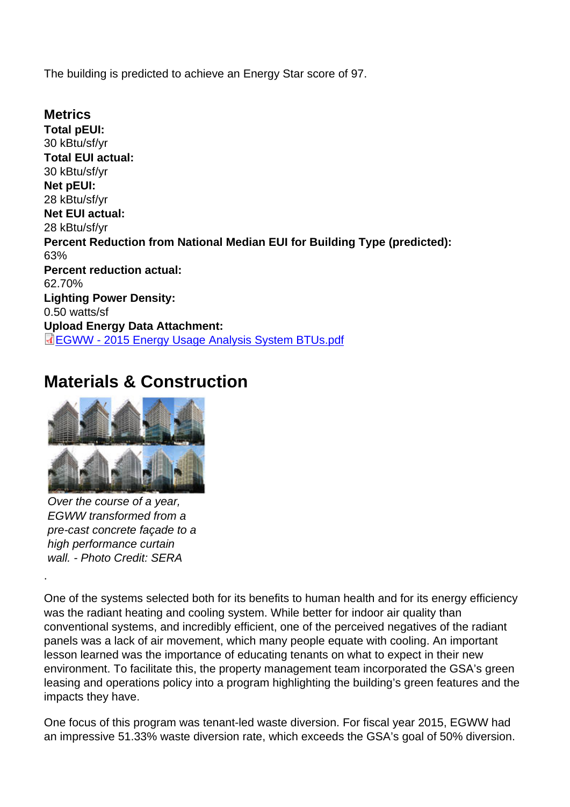The building is predicted to achieve an Energy Star score of 97.

**Metrics** Total pEUI: 30 kBtu/sf/yr Total EUI actual: 30 kBtu/sf/yr Net pEUI: 28 kBtu/sf/yr Net EUI actual: 28 kBtu/sf/yr Percent Reduction from National Median EUI for Building Type (predicted): 63% Percent reduction actual: 62.70% Lighting Power Density: 0.50 watts/sf Upload Energy Data Attachment: EGWW - 2015 Energy Usage Analysis System BTUs.pdf

## [Materials & Construction](http://submit.aiatopten.org/sites/default/files/EGWW - 2015 Energy Usage Analysis System BTUs.pdf)

Over the course of a year, EGWW transformed from a pre-cast concrete façade to a high performance curtain wall. - Photo Credit: SERA

.

One of the systems selected both for its benefits to human health and for its energy efficiency was the radiant heating and cooling system. While better for indoor air quality than conventional systems, and incredibly efficient, one of the perceived negatives of the radiant panels was a lack of air movement, which many people equate with cooling. An important lesson learned was the importance of educating tenants on what to expect in their new environment. To facilitate this, the property management team incorporated the GSA's green leasing and operations policy into a program highlighting the building's green features and the impacts they have.

One focus of this program was tenant-led waste diversion. For fiscal year 2015, EGWW had an impressive 51.33% waste diversion rate, which exceeds the GSA's goal of 50% diversion.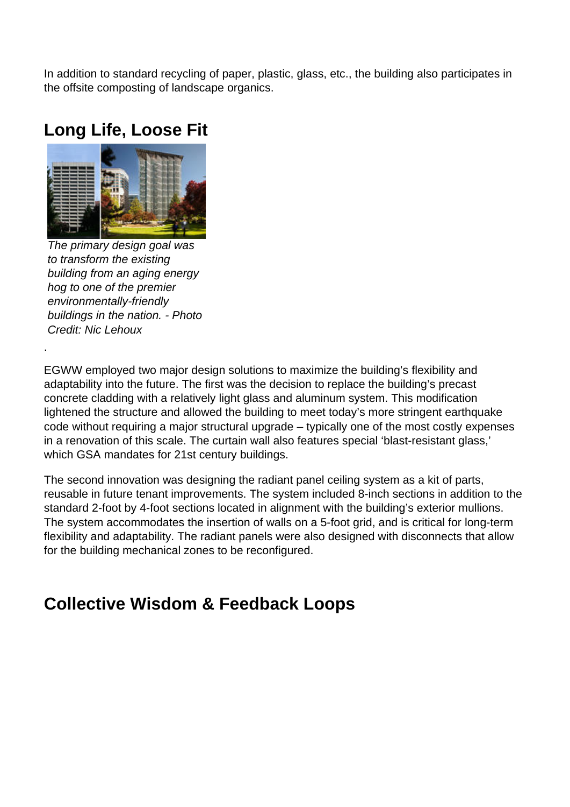In addition to standard recycling of paper, plastic, glass, etc., the building also participates in the offsite composting of landscape organics.

### **Long Life, Loose Fit**



The primary design goal was to transform the existing building from an aging energy hog to one of the premier environmentally-friendly buildings in the nation. - Photo Credit: Nic Lehoux

.

EGWW employed two major design solutions to maximize the building's flexibility and adaptability into the future. The first was the decision to replace the building's precast concrete cladding with a relatively light glass and aluminum system. This modification lightened the structure and allowed the building to meet today's more stringent earthquake code without requiring a major structural upgrade – typically one of the most costly expenses in a renovation of this scale. The curtain wall also features special 'blast-resistant glass,' which GSA mandates for 21st century buildings.

The second innovation was designing the radiant panel ceiling system as a kit of parts, reusable in future tenant improvements. The system included 8-inch sections in addition to the standard 2-foot by 4-foot sections located in alignment with the building's exterior mullions. The system accommodates the insertion of walls on a 5-foot grid, and is critical for long-term flexibility and adaptability. The radiant panels were also designed with disconnects that allow for the building mechanical zones to be reconfigured.

## **Collective Wisdom & Feedback Loops**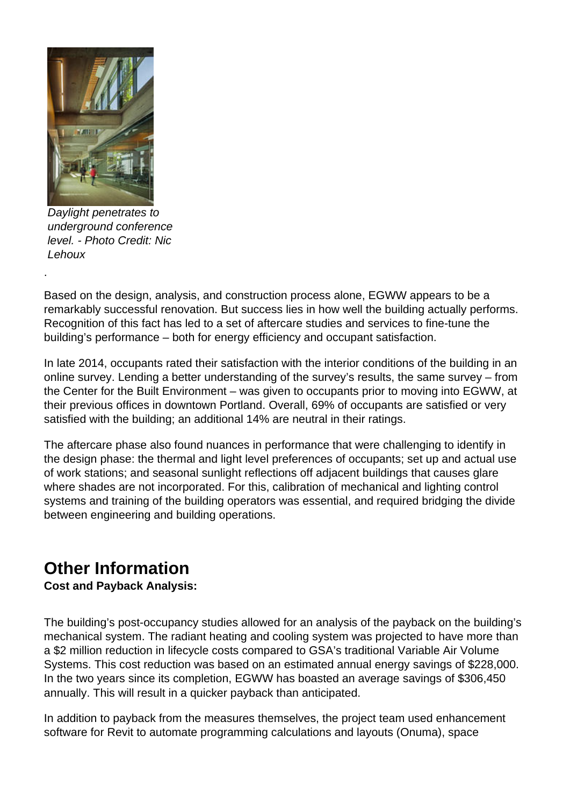

Daylight penetrates to underground conference level. - Photo Credit: Nic Lehoux

.

Based on the design, analysis, and construction process alone, EGWW appears to be a remarkably successful renovation. But success lies in how well the building actually performs. Recognition of this fact has led to a set of aftercare studies and services to fine-tune the building's performance – both for energy efficiency and occupant satisfaction.

In late 2014, occupants rated their satisfaction with the interior conditions of the building in an online survey. Lending a better understanding of the survey's results, the same survey – from the Center for the Built Environment – was given to occupants prior to moving into EGWW, at their previous offices in downtown Portland. Overall, 69% of occupants are satisfied or very satisfied with the building; an additional 14% are neutral in their ratings.

The aftercare phase also found nuances in performance that were challenging to identify in the design phase: the thermal and light level preferences of occupants; set up and actual use of work stations; and seasonal sunlight reflections off adjacent buildings that causes glare where shades are not incorporated. For this, calibration of mechanical and lighting control systems and training of the building operators was essential, and required bridging the divide between engineering and building operations.

# **Other Information**

**Cost and Payback Analysis:** 

The building's post-occupancy studies allowed for an analysis of the payback on the building's mechanical system. The radiant heating and cooling system was projected to have more than a \$2 million reduction in lifecycle costs compared to GSA's traditional Variable Air Volume Systems. This cost reduction was based on an estimated annual energy savings of \$228,000. In the two years since its completion, EGWW has boasted an average savings of \$306,450 annually. This will result in a quicker payback than anticipated.

In addition to payback from the measures themselves, the project team used enhancement software for Revit to automate programming calculations and layouts (Onuma), space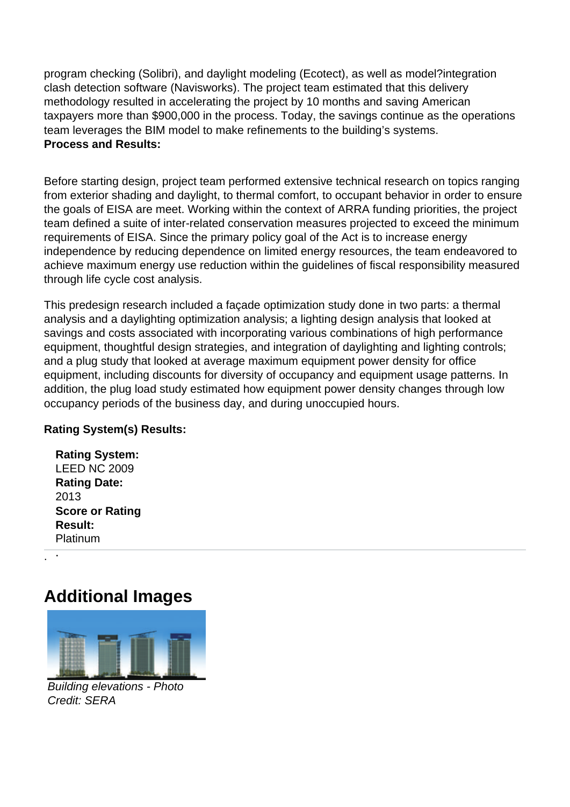program checking (Solibri), and daylight modeling (Ecotect), as well as model?integration clash detection software (Navisworks). The project team estimated that this delivery methodology resulted in accelerating the project by 10 months and saving American taxpayers more than \$900,000 in the process. Today, the savings continue as the operations team leverages the BIM model to make refinements to the building's systems. **Process and Results:** 

Before starting design, project team performed extensive technical research on topics ranging from exterior shading and daylight, to thermal comfort, to occupant behavior in order to ensure the goals of EISA are meet. Working within the context of ARRA funding priorities, the project team defined a suite of inter-related conservation measures projected to exceed the minimum requirements of EISA. Since the primary policy goal of the Act is to increase energy independence by reducing dependence on limited energy resources, the team endeavored to achieve maximum energy use reduction within the guidelines of fiscal responsibility measured through life cycle cost analysis.

This predesign research included a façade optimization study done in two parts: a thermal analysis and a daylighting optimization analysis; a lighting design analysis that looked at savings and costs associated with incorporating various combinations of high performance equipment, thoughtful design strategies, and integration of daylighting and lighting controls; and a plug study that looked at average maximum equipment power density for office equipment, including discounts for diversity of occupancy and equipment usage patterns. In addition, the plug load study estimated how equipment power density changes through low occupancy periods of the business day, and during unoccupied hours.

#### **Rating System(s) Results:**

| <b>Rating System:</b>  |  |  |  |  |
|------------------------|--|--|--|--|
| <b>LEED NC 2009</b>    |  |  |  |  |
| <b>Rating Date:</b>    |  |  |  |  |
| 2013                   |  |  |  |  |
| <b>Score or Rating</b> |  |  |  |  |
| <b>Result:</b>         |  |  |  |  |
| Platinum               |  |  |  |  |

. .

## **Additional Images**



Building elevations - Photo Credit: SERA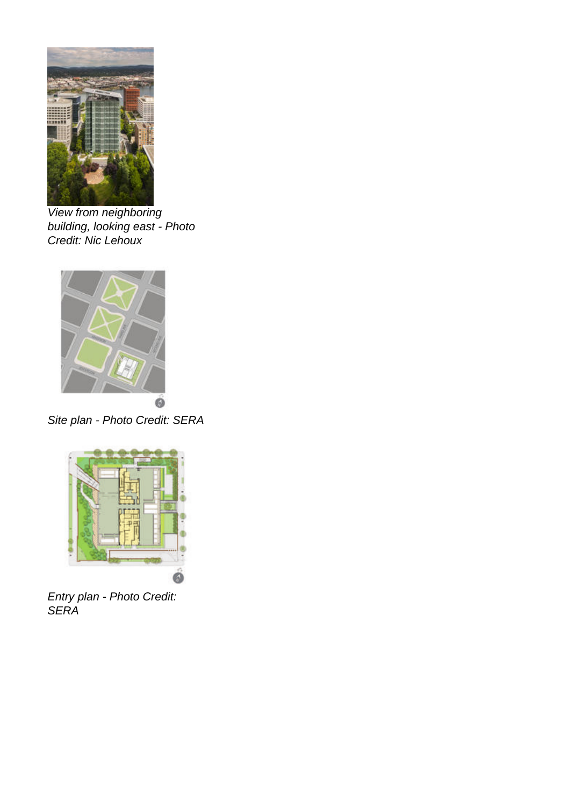

View from neighboring building, looking east - Photo Credit: Nic Lehoux



Site plan - Photo Credit: SERA



Entry plan - Photo Credit: **SERA**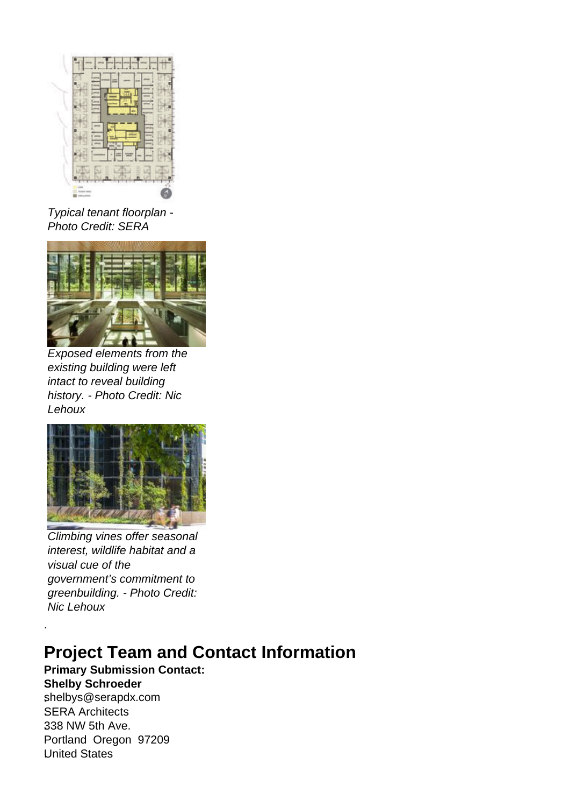

Typical tenant floorplan - Photo Credit: SERA



Exposed elements from the existing building were left intact to reveal building history. - Photo Credit: Nic Lehoux



Climbing vines offer seasonal interest, wildlife habitat and a visual cue of the government's commitment to greenbuilding. - Photo Credit: Nic Lehoux

# **Project Team and Contact Information**

**Primary Submission Contact: Shelby Schroeder**

**.**shelbys@serapdx.com .SERA Architects **.**338 NW 5th Ave. Portland Oregon 97209 .United States

.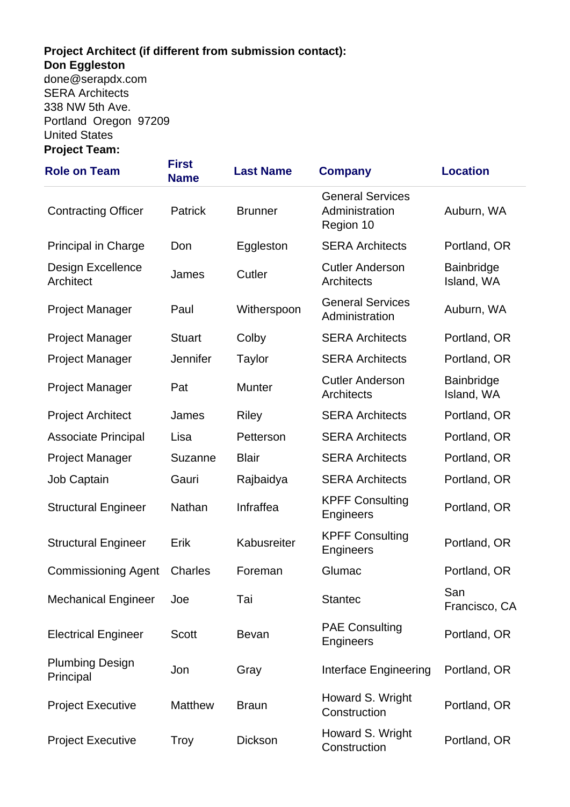#### **Project Architect (if different from submission contact): Don Eggleston .**done@serapdx.com

.SERA Architects **.**338 NW 5th Ave. Portland Oregon 97209 .United States **Project Team:** 

| <b>Role on Team</b>                   | <b>First</b><br><b>Name</b> | <b>Last Name</b> | <b>Company</b>                                         | <b>Location</b>          |
|---------------------------------------|-----------------------------|------------------|--------------------------------------------------------|--------------------------|
| <b>Contracting Officer</b>            | Patrick                     | <b>Brunner</b>   | <b>General Services</b><br>Administration<br>Region 10 | Auburn, WA               |
| <b>Principal in Charge</b>            | Don                         | Eggleston        | <b>SERA Architects</b>                                 | Portland, OR             |
| <b>Design Excellence</b><br>Architect | James                       | Cutler           | <b>Cutler Anderson</b><br><b>Architects</b>            | Bainbridge<br>Island, WA |
| <b>Project Manager</b>                | Paul                        | Witherspoon      | <b>General Services</b><br>Administration              | Auburn, WA               |
| <b>Project Manager</b>                | <b>Stuart</b>               | Colby            | <b>SERA Architects</b>                                 | Portland, OR             |
| <b>Project Manager</b>                | Jennifer                    | <b>Taylor</b>    | <b>SERA Architects</b>                                 | Portland, OR             |
| <b>Project Manager</b>                | Pat                         | Munter           | <b>Cutler Anderson</b><br><b>Architects</b>            | Bainbridge<br>Island, WA |
| <b>Project Architect</b>              | James                       | <b>Riley</b>     | <b>SERA Architects</b>                                 | Portland, OR             |
| <b>Associate Principal</b>            | Lisa                        | Petterson        | <b>SERA Architects</b>                                 | Portland, OR             |
| <b>Project Manager</b>                | <b>Suzanne</b>              | <b>Blair</b>     | <b>SERA Architects</b>                                 | Portland, OR             |
| Job Captain                           | Gauri                       | Rajbaidya        | <b>SERA Architects</b>                                 | Portland, OR             |
| <b>Structural Engineer</b>            | Nathan                      | Infraffea        | <b>KPFF Consulting</b><br>Engineers                    | Portland, OR             |
| <b>Structural Engineer</b>            | Erik                        | Kabusreiter      | <b>KPFF Consulting</b><br>Engineers                    | Portland, OR             |
| <b>Commissioning Agent</b>            | <b>Charles</b>              | Foreman          | Glumac                                                 | Portland, OR             |
| <b>Mechanical Engineer</b>            | Joe                         | Tai              | <b>Stantec</b>                                         | San<br>Francisco, CA     |
| <b>Electrical Engineer</b>            | <b>Scott</b>                | <b>Bevan</b>     | <b>PAE Consulting</b><br>Engineers                     | Portland, OR             |
| <b>Plumbing Design</b><br>Principal   | Jon                         | Gray             | Interface Engineering                                  | Portland, OR             |
| <b>Project Executive</b>              | <b>Matthew</b>              | <b>Braun</b>     | Howard S. Wright<br>Construction                       | Portland, OR             |
| <b>Project Executive</b>              | <b>Troy</b>                 | <b>Dickson</b>   | Howard S. Wright<br>Construction                       | Portland, OR             |